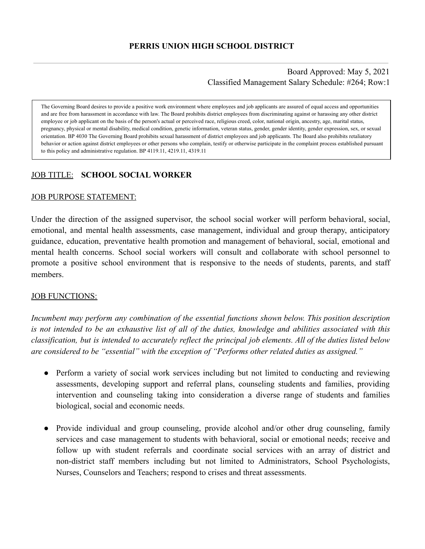Board Approved: May 5, 2021 Classified Management Salary Schedule: #264; Row:1

The Governing Board desires to provide a positive work environment where employees and job applicants are assured of equal access and opportunities and are free from harassment in accordance with law. The Board prohibits district employees from discriminating against or harassing any other district employee or job applicant on the basis of the person's actual or perceived race, religious creed, color, national origin, ancestry, age, marital status, pregnancy, physical or mental disability, medical condition, genetic information, veteran status, gender, gender identity, gender expression, sex, or sexual orientation. BP 4030 The Governing Board prohibits sexual harassment of district employees and job applicants. The Board also prohibits retaliatory behavior or action against district employees or other persons who complain, testify or otherwise participate in the complaint process established pursuant to this policy and administrative regulation. BP 4119.11, 4219.11, 4319.11

#### JOB TITLE: **SCHOOL SOCIAL WORKER**

#### JOB PURPOSE STATEMENT:

Under the direction of the assigned supervisor, the school social worker will perform behavioral, social, emotional, and mental health assessments, case management, individual and group therapy, anticipatory guidance, education, preventative health promotion and management of behavioral, social, emotional and mental health concerns. School social workers will consult and collaborate with school personnel to promote a positive school environment that is responsive to the needs of students, parents, and staff members.

#### **JOB FUNCTIONS:**

*Incumbent may perform any combination of the essential functions shown below. This position description is not intended to be an exhaustive list of all of the duties, knowledge and abilities associated with this classification, but is intended to accurately reflect the principal job elements. All of the duties listed below are considered to be "essential" with the exception of "Performs other related duties as assigned."* 

- Perform a variety of social work services including but not limited to conducting and reviewing assessments, developing support and referral plans, counseling students and families, providing intervention and counseling taking into consideration a diverse range of students and families biological, social and economic needs.
- Provide individual and group counseling, provide alcohol and/or other drug counseling, family services and case management to students with behavioral, social or emotional needs; receive and follow up with student referrals and coordinate social services with an array of district and non-district staff members including but not limited to Administrators, School Psychologists, Nurses, Counselors and Teachers; respond to crises and threat assessments.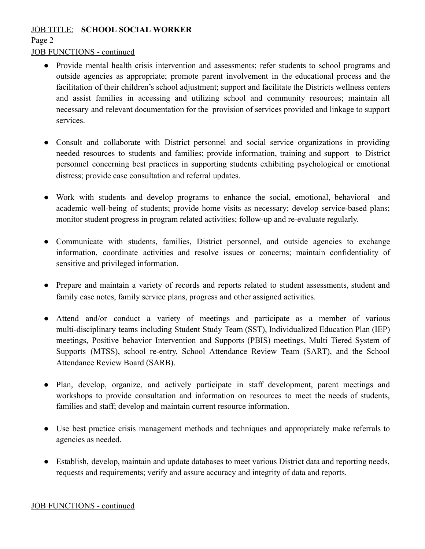### JOB TITLE: **SCHOOL SOCIAL WORKER**

### Page 2

# JOB FUNCTIONS - continued

- Provide mental health crisis intervention and assessments; refer students to school programs and outside agencies as appropriate; promote parent involvement in the educational process and the facilitation of their children's school adjustment; support and facilitate the Districts wellness centers and assist families in accessing and utilizing school and community resources; maintain all necessary and relevant documentation for the provision of services provided and linkage to support services.
- Consult and collaborate with District personnel and social service organizations in providing needed resources to students and families; provide information, training and support to District personnel concerning best practices in supporting students exhibiting psychological or emotional distress; provide case consultation and referral updates.
- Work with students and develop programs to enhance the social, emotional, behavioral and academic well-being of students; provide home visits as necessary; develop service-based plans; monitor student progress in program related activities; follow-up and re-evaluate regularly.
- Communicate with students, families, District personnel, and outside agencies to exchange information, coordinate activities and resolve issues or concerns; maintain confidentiality of sensitive and privileged information.
- Prepare and maintain a variety of records and reports related to student assessments, student and family case notes, family service plans, progress and other assigned activities.
- Attend and/or conduct a variety of meetings and participate as a member of various multi-disciplinary teams including Student Study Team (SST), Individualized Education Plan (IEP) meetings, Positive behavior Intervention and Supports (PBIS) meetings, Multi Tiered System of Supports (MTSS), school re-entry, School Attendance Review Team (SART), and the School Attendance Review Board (SARB).
- Plan, develop, organize, and actively participate in staff development, parent meetings and workshops to provide consultation and information on resources to meet the needs of students, families and staff; develop and maintain current resource information.
- Use best practice crisis management methods and techniques and appropriately make referrals to agencies as needed.
- Establish, develop, maintain and update databases to meet various District data and reporting needs, requests and requirements; verify and assure accuracy and integrity of data and reports.

# JOB FUNCTIONS - continued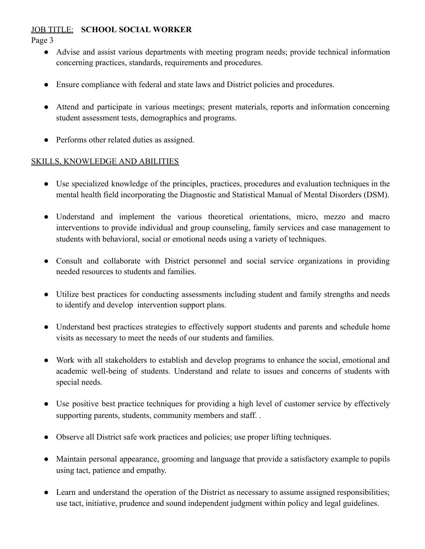### JOB TITLE: **SCHOOL SOCIAL WORKER**

Page 3

- Advise and assist various departments with meeting program needs; provide technical information concerning practices, standards, requirements and procedures.
- Ensure compliance with federal and state laws and District policies and procedures.
- Attend and participate in various meetings; present materials, reports and information concerning student assessment tests, demographics and programs.
- Performs other related duties as assigned.

### SKILLS, KNOWLEDGE AND ABILITIES

- Use specialized knowledge of the principles, practices, procedures and evaluation techniques in the mental health field incorporating the Diagnostic and Statistical Manual of Mental Disorders (DSM).
- Understand and implement the various theoretical orientations, micro, mezzo and macro interventions to provide individual and group counseling, family services and case management to students with behavioral, social or emotional needs using a variety of techniques.
- Consult and collaborate with District personnel and social service organizations in providing needed resources to students and families.
- Utilize best practices for conducting assessments including student and family strengths and needs to identify and develop intervention support plans.
- Understand best practices strategies to effectively support students and parents and schedule home visits as necessary to meet the needs of our students and families.
- Work with all stakeholders to establish and develop programs to enhance the social, emotional and academic well-being of students. Understand and relate to issues and concerns of students with special needs.
- Use positive best practice techniques for providing a high level of customer service by effectively supporting parents, students, community members and staff. .
- Observe all District safe work practices and policies; use proper lifting techniques.
- Maintain personal appearance, grooming and language that provide a satisfactory example to pupils using tact, patience and empathy.
- Learn and understand the operation of the District as necessary to assume assigned responsibilities; use tact, initiative, prudence and sound independent judgment within policy and legal guidelines.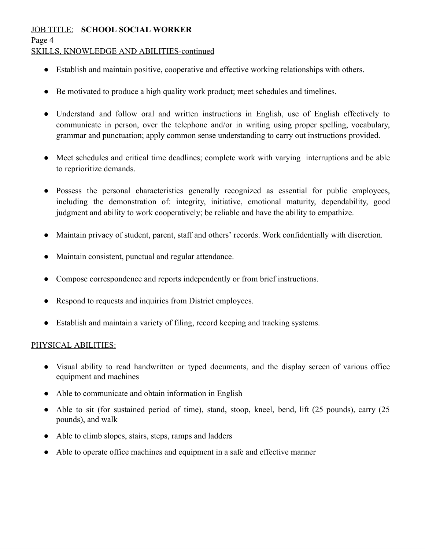### JOB TITLE: **SCHOOL SOCIAL WORKER**

Page 4

#### SKILLS, KNOWLEDGE AND ABILITIES-continued

- Establish and maintain positive, cooperative and effective working relationships with others.
- Be motivated to produce a high quality work product; meet schedules and timelines.
- Understand and follow oral and written instructions in English, use of English effectively to communicate in person, over the telephone and/or in writing using proper spelling, vocabulary, grammar and punctuation; apply common sense understanding to carry out instructions provided.
- Meet schedules and critical time deadlines; complete work with varying interruptions and be able to reprioritize demands.
- Possess the personal characteristics generally recognized as essential for public employees, including the demonstration of: integrity, initiative, emotional maturity, dependability, good judgment and ability to work cooperatively; be reliable and have the ability to empathize.
- Maintain privacy of student, parent, staff and others' records. Work confidentially with discretion.
- Maintain consistent, punctual and regular attendance.
- Compose correspondence and reports independently or from brief instructions.
- Respond to requests and inquiries from District employees.
- Establish and maintain a variety of filing, record keeping and tracking systems.

#### PHYSICAL ABILITIES:

- Visual ability to read handwritten or typed documents, and the display screen of various office equipment and machines
- Able to communicate and obtain information in English
- Able to sit (for sustained period of time), stand, stoop, kneel, bend, lift (25 pounds), carry (25 pounds), and walk
- Able to climb slopes, stairs, steps, ramps and ladders
- Able to operate office machines and equipment in a safe and effective manner